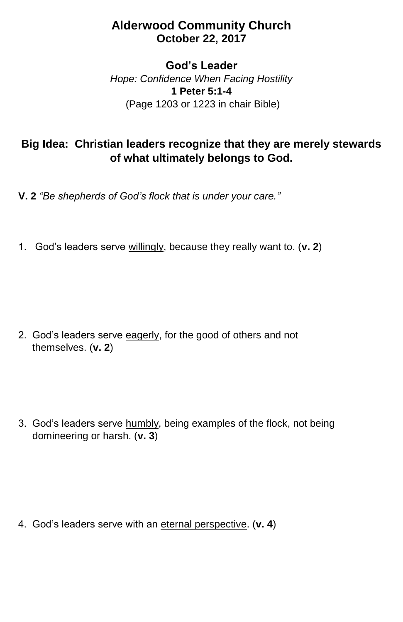## **Alderwood Community Church October 22, 2017**

## **God's Leader**

*Hope: Confidence When Facing Hostility* **1 Peter 5:1-4** (Page 1203 or 1223 in chair Bible)

## **Big Idea: Christian leaders recognize that they are merely stewards of what ultimately belongs to God.**

**V. 2** *"Be shepherds of God's flock that is under your care."*

1. God's leaders serve willingly, because they really want to. (**v. 2**)

2. God's leaders serve eagerly, for the good of others and not themselves. (**v. 2**)

3. God's leaders serve humbly, being examples of the flock, not being domineering or harsh. (**v. 3**)

4. God's leaders serve with an eternal perspective. (**v. 4**)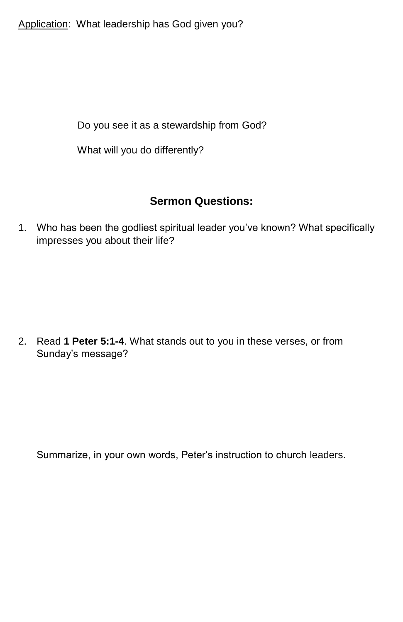Application: What leadership has God given you?

Do you see it as a stewardship from God?

What will you do differently?

## **Sermon Questions:**

1. Who has been the godliest spiritual leader you've known? What specifically impresses you about their life?

2. Read **1 Peter 5:1-4**. What stands out to you in these verses, or from Sunday's message?

Summarize, in your own words, Peter's instruction to church leaders.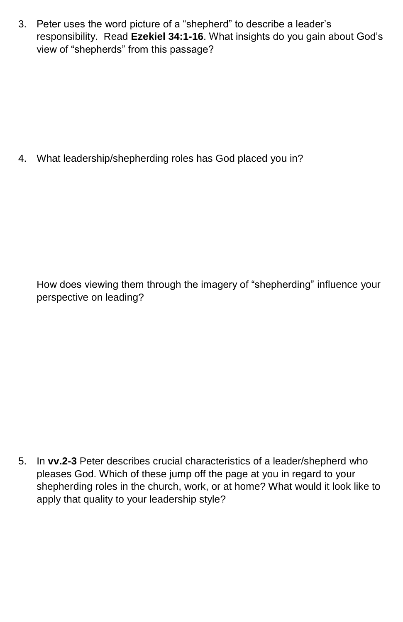3. Peter uses the word picture of a "shepherd" to describe a leader's responsibility. Read **Ezekiel 34:1-16**. What insights do you gain about God's view of "shepherds" from this passage?

4. What leadership/shepherding roles has God placed you in?

How does viewing them through the imagery of "shepherding" influence your perspective on leading?

5. In **vv.2-3** Peter describes crucial characteristics of a leader/shepherd who pleases God. Which of these jump off the page at you in regard to your shepherding roles in the church, work, or at home? What would it look like to apply that quality to your leadership style?